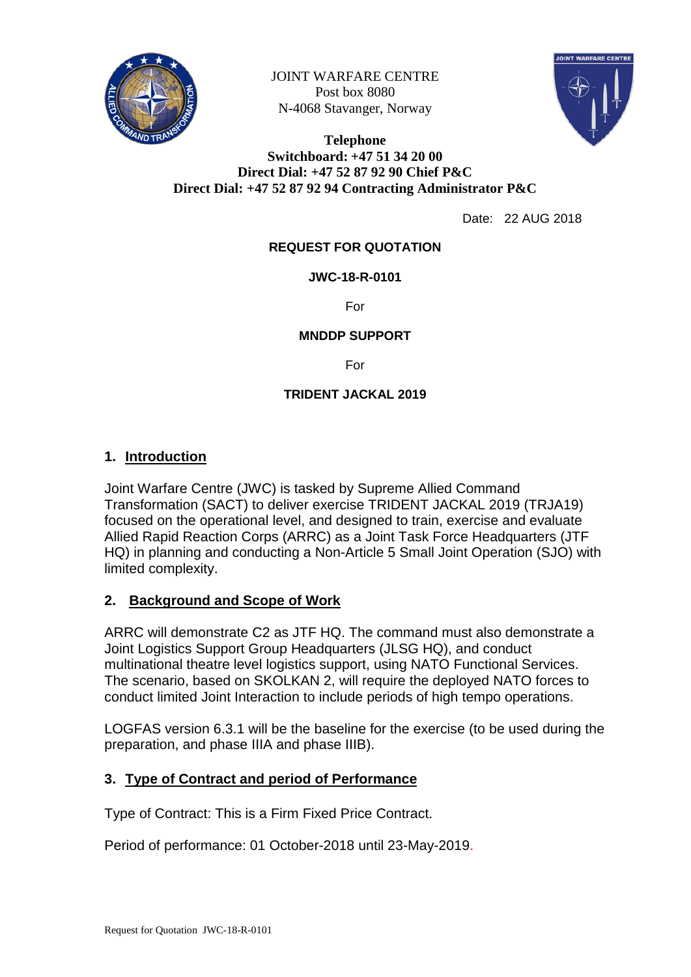

JOINT WARFARE CENTRE Post box 8080 N-4068 Stavanger, Norway



#### **Telephone Switchboard: +47 51 34 20 00 Direct Dial: +47 52 87 92 90 Chief P&C Direct Dial: +47 52 87 92 94 Contracting Administrator P&C**

Date: 22 AUG 2018

## **REQUEST FOR QUOTATION**

### **JWC-18-R-0101**

For

#### **MNDDP SUPPORT**

For

### **TRIDENT JACKAL 2019**

## **1. Introduction**

Joint Warfare Centre (JWC) is tasked by Supreme Allied Command Transformation (SACT) to deliver exercise TRIDENT JACKAL 2019 (TRJA19) focused on the operational level, and designed to train, exercise and evaluate Allied Rapid Reaction Corps (ARRC) as a Joint Task Force Headquarters (JTF HQ) in planning and conducting a Non-Article 5 Small Joint Operation (SJO) with limited complexity.

### **2. Background and Scope of Work**

ARRC will demonstrate C2 as JTF HQ. The command must also demonstrate a Joint Logistics Support Group Headquarters (JLSG HQ), and conduct multinational theatre level logistics support, using NATO Functional Services. The scenario, based on SKOLKAN 2, will require the deployed NATO forces to conduct limited Joint Interaction to include periods of high tempo operations.

LOGFAS version 6.3.1 will be the baseline for the exercise (to be used during the preparation, and phase IIIA and phase IIIB).

### **3. Type of Contract and period of Performance**

Type of Contract: This is a Firm Fixed Price Contract.

Period of performance: 01 October-2018 until 23-May-2019.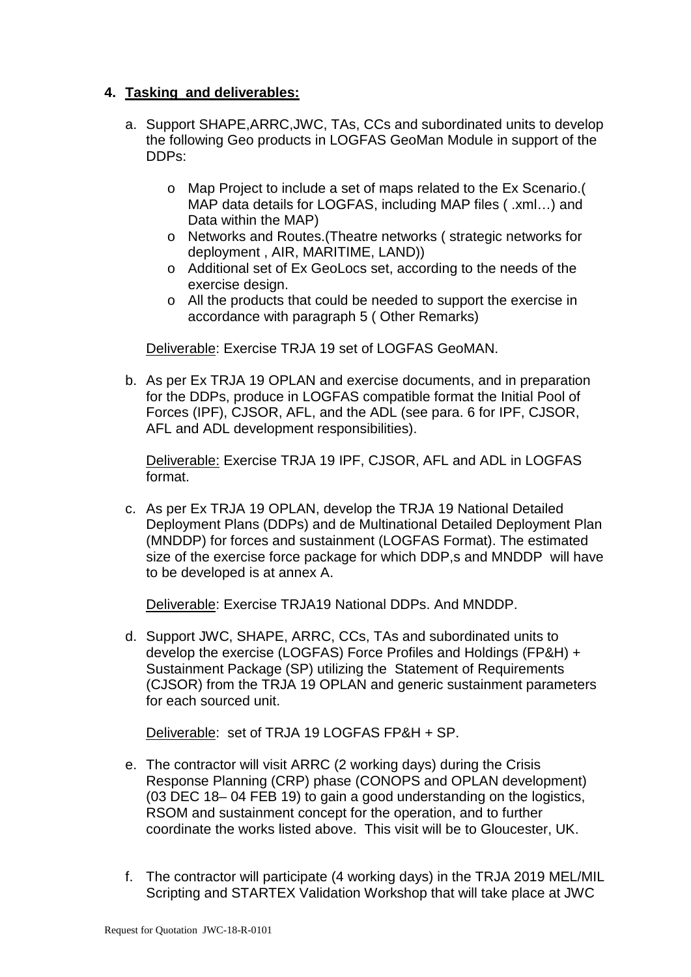## **4. Tasking and deliverables:**

- a. Support SHAPE,ARRC,JWC, TAs, CCs and subordinated units to develop the following Geo products in LOGFAS GeoMan Module in support of the DDPs:
	- o Map Project to include a set of maps related to the Ex Scenario.( MAP data details for LOGFAS, including MAP files ( .xml…) and Data within the MAP)
	- o Networks and Routes.(Theatre networks ( strategic networks for deployment , AIR, MARITIME, LAND))
	- o Additional set of Ex GeoLocs set, according to the needs of the exercise design.
	- o All the products that could be needed to support the exercise in accordance with paragraph 5 ( Other Remarks)

Deliverable: Exercise TRJA 19 set of LOGFAS GeoMAN.

b. As per Ex TRJA 19 OPLAN and exercise documents, and in preparation for the DDPs, produce in LOGFAS compatible format the Initial Pool of Forces (IPF), CJSOR, AFL, and the ADL (see para. 6 for IPF, CJSOR, AFL and ADL development responsibilities).

Deliverable: Exercise TRJA 19 IPF, CJSOR, AFL and ADL in LOGFAS format.

c. As per Ex TRJA 19 OPLAN, develop the TRJA 19 National Detailed Deployment Plans (DDPs) and de Multinational Detailed Deployment Plan (MNDDP) for forces and sustainment (LOGFAS Format). The estimated size of the exercise force package for which DDP, and MNDDP will have to be developed is at annex A.

Deliverable: Exercise TRJA19 National DDPs. And MNDDP.

d. Support JWC, SHAPE, ARRC, CCs, TAs and subordinated units to develop the exercise (LOGFAS) Force Profiles and Holdings (FP&H) + Sustainment Package (SP) utilizing the Statement of Requirements (CJSOR) from the TRJA 19 OPLAN and generic sustainment parameters for each sourced unit.

Deliverable: set of TRJA 19 LOGFAS FP&H + SP.

- e. The contractor will visit ARRC (2 working days) during the Crisis Response Planning (CRP) phase (CONOPS and OPLAN development) (03 DEC 18– 04 FEB 19) to gain a good understanding on the logistics, RSOM and sustainment concept for the operation, and to further coordinate the works listed above. This visit will be to Gloucester, UK.
- f. The contractor will participate (4 working days) in the TRJA 2019 MEL/MIL Scripting and STARTEX Validation Workshop that will take place at JWC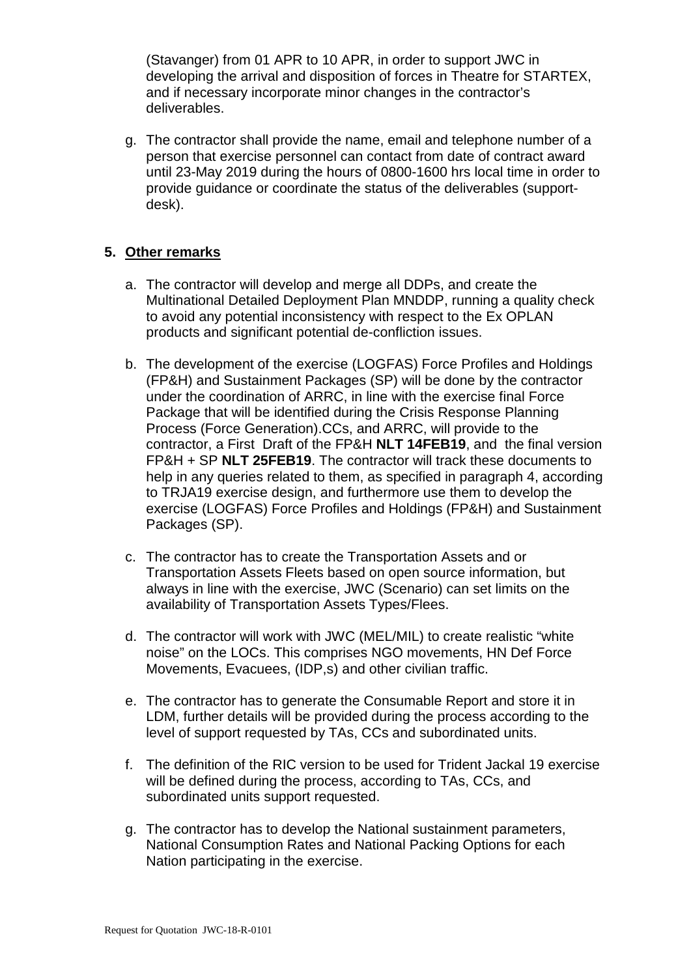(Stavanger) from 01 APR to 10 APR, in order to support JWC in developing the arrival and disposition of forces in Theatre for STARTEX, and if necessary incorporate minor changes in the contractor's deliverables.

g. The contractor shall provide the name, email and telephone number of a person that exercise personnel can contact from date of contract award until 23-May 2019 during the hours of 0800-1600 hrs local time in order to provide guidance or coordinate the status of the deliverables (supportdesk).

## **5. Other remarks**

- a. The contractor will develop and merge all DDPs, and create the Multinational Detailed Deployment Plan MNDDP, running a quality check to avoid any potential inconsistency with respect to the Ex OPLAN products and significant potential de-confliction issues.
- b. The development of the exercise (LOGFAS) Force Profiles and Holdings (FP&H) and Sustainment Packages (SP) will be done by the contractor under the coordination of ARRC, in line with the exercise final Force Package that will be identified during the Crisis Response Planning Process (Force Generation).CCs, and ARRC, will provide to the contractor, a First Draft of the FP&H **NLT 14FEB19**, and the final version FP&H + SP **NLT 25FEB19**. The contractor will track these documents to help in any queries related to them, as specified in paragraph 4, according to TRJA19 exercise design, and furthermore use them to develop the exercise (LOGFAS) Force Profiles and Holdings (FP&H) and Sustainment Packages (SP).
- c. The contractor has to create the Transportation Assets and or Transportation Assets Fleets based on open source information, but always in line with the exercise, JWC (Scenario) can set limits on the availability of Transportation Assets Types/Flees.
- d. The contractor will work with JWC (MEL/MIL) to create realistic "white noise" on the LOCs. This comprises NGO movements, HN Def Force Movements, Evacuees, (IDP,s) and other civilian traffic.
- e. The contractor has to generate the Consumable Report and store it in LDM, further details will be provided during the process according to the level of support requested by TAs, CCs and subordinated units.
- f. The definition of the RIC version to be used for Trident Jackal 19 exercise will be defined during the process, according to TAs, CCs, and subordinated units support requested.
- g. The contractor has to develop the National sustainment parameters, National Consumption Rates and National Packing Options for each Nation participating in the exercise.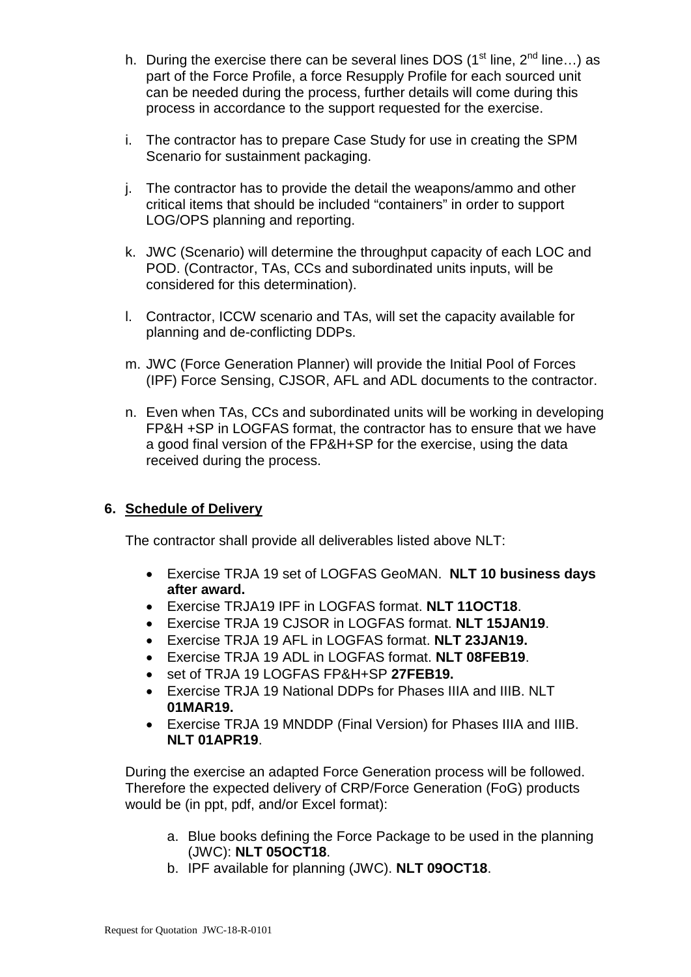- h. During the exercise there can be several lines DOS ( $1<sup>st</sup>$  line,  $2<sup>nd</sup>$  line...) as part of the Force Profile, a force Resupply Profile for each sourced unit can be needed during the process, further details will come during this process in accordance to the support requested for the exercise.
- i. The contractor has to prepare Case Study for use in creating the SPM Scenario for sustainment packaging.
- j. The contractor has to provide the detail the weapons/ammo and other critical items that should be included "containers" in order to support LOG/OPS planning and reporting.
- k. JWC (Scenario) will determine the throughput capacity of each LOC and POD. (Contractor, TAs, CCs and subordinated units inputs, will be considered for this determination).
- l. Contractor, ICCW scenario and TAs, will set the capacity available for planning and de-conflicting DDPs.
- m. JWC (Force Generation Planner) will provide the Initial Pool of Forces (IPF) Force Sensing, CJSOR, AFL and ADL documents to the contractor.
- n. Even when TAs, CCs and subordinated units will be working in developing FP&H +SP in LOGFAS format, the contractor has to ensure that we have a good final version of the FP&H+SP for the exercise, using the data received during the process.

# **6. Schedule of Delivery**

The contractor shall provide all deliverables listed above NLT:

- Exercise TRJA 19 set of LOGFAS GeoMAN. **NLT 10 business days after award.**
- Exercise TRJA19 IPF in LOGFAS format. **NLT 11OCT18**.
- Exercise TRJA 19 CJSOR in LOGFAS format. **NLT 15JAN19**.
- Exercise TRJA 19 AFL in LOGFAS format. **NLT 23JAN19.**
- Exercise TRJA 19 ADL in LOGFAS format. **NLT 08FEB19**.
- set of TRJA 19 LOGFAS FP&H+SP **27FEB19.**
- Exercise TRJA 19 National DDPs for Phases IIIA and IIIB. NLT **01MAR19.**
- Exercise TRJA 19 MNDDP (Final Version) for Phases IIIA and IIIB. **NLT 01APR19**.

During the exercise an adapted Force Generation process will be followed. Therefore the expected delivery of CRP/Force Generation (FoG) products would be (in ppt, pdf, and/or Excel format):

- a. Blue books defining the Force Package to be used in the planning (JWC): **NLT 05OCT18**.
- b. IPF available for planning (JWC). **NLT 09OCT18**.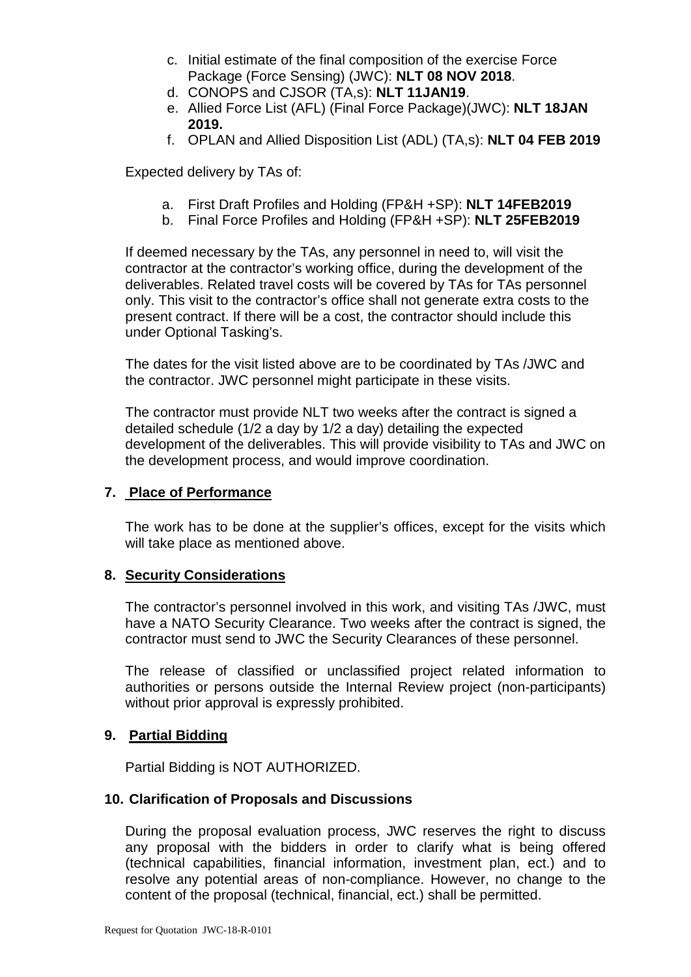- c. Initial estimate of the final composition of the exercise Force Package (Force Sensing) (JWC): **NLT 08 NOV 2018**.
- d. CONOPS and CJSOR (TA,s): **NLT 11JAN19**.
- e. Allied Force List (AFL) (Final Force Package)(JWC): **NLT 18JAN 2019.**
- f. OPLAN and Allied Disposition List (ADL) (TA,s): **NLT 04 FEB 2019**

Expected delivery by TAs of:

- a. First Draft Profiles and Holding (FP&H +SP): **NLT 14FEB2019**
- b. Final Force Profiles and Holding (FP&H +SP): **NLT 25FEB2019**

If deemed necessary by the TAs, any personnel in need to, will visit the contractor at the contractor's working office, during the development of the deliverables. Related travel costs will be covered by TAs for TAs personnel only. This visit to the contractor's office shall not generate extra costs to the present contract. If there will be a cost, the contractor should include this under Optional Tasking's.

The dates for the visit listed above are to be coordinated by TAs /JWC and the contractor. JWC personnel might participate in these visits.

The contractor must provide NLT two weeks after the contract is signed a detailed schedule (1/2 a day by 1/2 a day) detailing the expected development of the deliverables. This will provide visibility to TAs and JWC on the development process, and would improve coordination.

### **7. Place of Performance**

The work has to be done at the supplier's offices, except for the visits which will take place as mentioned above.

### **8. Security Considerations**

The contractor's personnel involved in this work, and visiting TAs /JWC, must have a NATO Security Clearance. Two weeks after the contract is signed, the contractor must send to JWC the Security Clearances of these personnel.

The release of classified or unclassified project related information to authorities or persons outside the Internal Review project (non-participants) without prior approval is expressly prohibited.

### **9. Partial Bidding**

Partial Bidding is NOT AUTHORIZED.

### **10. Clarification of Proposals and Discussions**

During the proposal evaluation process, JWC reserves the right to discuss any proposal with the bidders in order to clarify what is being offered (technical capabilities, financial information, investment plan, ect.) and to resolve any potential areas of non-compliance. However, no change to the content of the proposal (technical, financial, ect.) shall be permitted.